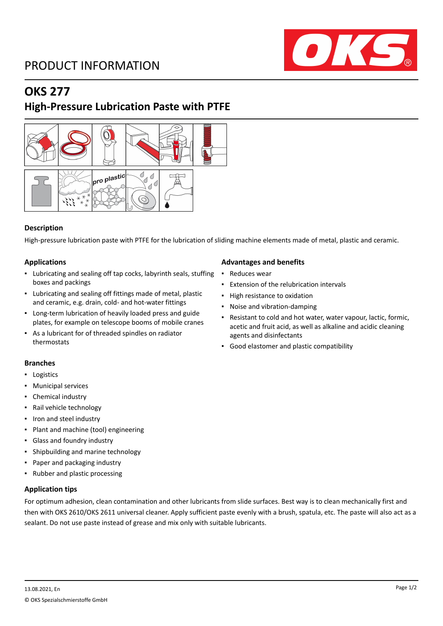

## **OKS 277**

## **High-Pressure Lubrication Paste with PTFE**



## **Description**

High-pressure lubrication paste with PTFE for the lubrication of sliding machine elements made of metal, plastic and ceramic.

## **Applications**

- Lubricating and sealing off tap cocks, labyrinth seals, stuffing boxes and packings
- Lubricating and sealing off fittings made of metal, plastic and ceramic, e.g. drain, cold- and hot-water fittings
- Long-term lubrication of heavily loaded press and guide plates, for example on telescope booms of mobile cranes
- As a lubricant for of threaded spindles on radiator thermostats

#### **Branches**

- Logistics
- **Municipal services**
- Chemical industry
- Rail vehicle technology
- Iron and steel industry
- Plant and machine (tool) engineering
- Glass and foundry industry
- Shipbuilding and marine technology
- Paper and packaging industry
- Rubber and plastic processing

## **Application tips**

For optimum adhesion, clean contamination and other lubricants from slide surfaces. Best way is to clean mechanically first and then with OKS 2610/OKS 2611 universal cleaner. Apply sufficient paste evenly with a brush, spatula, etc. The paste will also act as a sealant. Do not use paste instead of grease and mix only with suitable lubricants.

#### **Advantages and benefits**

- Reduces wear
- Extension of the relubrication intervals
- High resistance to oxidation
- Noise and vibration-damping
- Resistant to cold and hot water, water vapour, lactic, formic, acetic and fruit acid, as well as alkaline and acidic cleaning agents and disinfectants
- Good elastomer and plastic compatibility